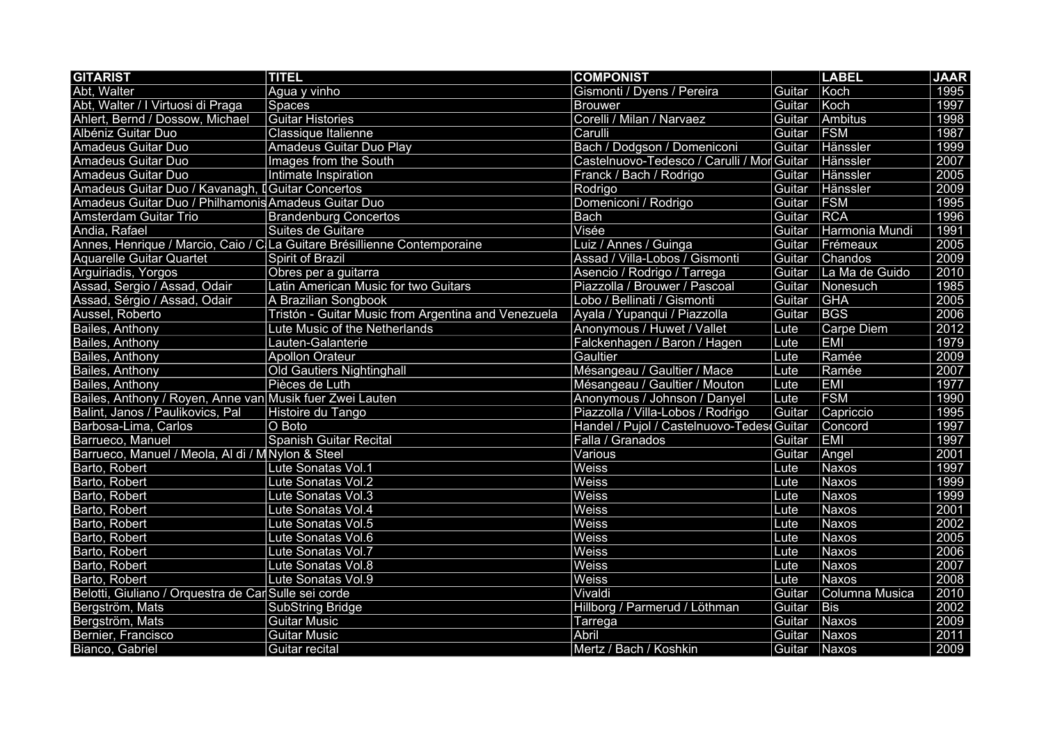| <b>GITARIST</b>                                          | <b>TITEL</b>                                                             | <b>COMPONIST</b>                           |        | <b>LABEL</b>   | <b>JAAR</b> |
|----------------------------------------------------------|--------------------------------------------------------------------------|--------------------------------------------|--------|----------------|-------------|
| Abt, Walter                                              | Agua y vinho                                                             | Gismonti / Dyens / Pereira                 | Guitar | Koch           | 1995        |
| Abt, Walter / I Virtuosi di Praga                        | Spaces                                                                   | <b>Brouwer</b>                             | Guitar | Koch           | 1997        |
| Ahlert, Bernd / Dossow, Michael                          | <b>Guitar Histories</b>                                                  | Corelli / Milan / Narvaez                  | Guitar | Ambitus        | 1998        |
| Albéniz Guitar Duo                                       | Classique Italienne                                                      | Carulli                                    | Guitar | <b>FSM</b>     | 1987        |
| <b>Amadeus Guitar Duo</b>                                | <b>Amadeus Guitar Duo Play</b>                                           | Bach / Dodgson / Domeniconi                | Guitar | Hänssler       | 1999        |
| <b>Amadeus Guitar Duo</b>                                | Images from the South                                                    | Castelnuovo-Tedesco / Carulli / Mor Guitar |        | Hänssler       | 2007        |
| Amadeus Guitar Duo                                       | Intimate Inspiration                                                     | Franck / Bach / Rodrigo                    | Guitar | Hänssler       | 2005        |
| Amadeus Guitar Duo / Kavanagh, I Guitar Concertos        |                                                                          | Rodrigo                                    | Guitar | Hänssler       | 2009        |
| Amadeus Guitar Duo / Philhamonis Amadeus Guitar Duo      |                                                                          | Domeniconi / Rodrigo                       | Guitar | <b>FSM</b>     | 1995        |
| <b>Amsterdam Guitar Trio</b>                             | <b>Brandenburg Concertos</b>                                             | <b>Bach</b>                                | Guitar | <b>RCA</b>     | 1996        |
| Andia, Rafael                                            | Suites de Guitare                                                        | Visée                                      | Guitar | Harmonia Mundi | 1991        |
|                                                          | Annes, Henrique / Marcio, Caio / C La Guitare Brésillienne Contemporaine | Luiz / Annes / Guinga                      | Guitar | Frémeaux       | 2005        |
| <b>Aquarelle Guitar Quartet</b>                          | Spirit of Brazil                                                         | Assad / Villa-Lobos / Gismonti             | Guitar | Chandos        | 2009        |
| Arguiriadis, Yorgos                                      | Obres per a guitarra                                                     | Asencio / Rodrigo / Tarrega                | Guitar | La Ma de Guido | 2010        |
| Assad, Sergio / Assad, Odair                             | Latin American Music for two Guitars                                     | Piazzolla / Brouwer / Pascoal              | Guitar | Nonesuch       | 1985        |
| Assad, Sérgio / Assad, Odair                             | A Brazilian Songbook                                                     | Lobo / Bellinati / Gismonti                | Guitar | <b>GHA</b>     | 2005        |
| Aussel, Roberto                                          | Tristón - Guitar Music from Argentina and Venezuela                      | Ayala / Yupanqui / Piazzolla               | Guitar | <b>BGS</b>     | 2006        |
| Bailes, Anthony                                          | Lute Music of the Netherlands                                            | Anonymous / Huwet / Vallet                 | Lute   | Carpe Diem     | 2012        |
| Bailes, Anthony                                          | Lauten-Galanterie                                                        | Falckenhagen / Baron / Hagen               | Lute   | <b>EMI</b>     | 1979        |
| Bailes, Anthony                                          | <b>Apollon Orateur</b>                                                   | Gaultier                                   | Lute   | Ramée          | 2009        |
| Bailes, Anthony                                          | <b>Old Gautiers Nightinghall</b>                                         | Mésangeau / Gaultier / Mace                | Lute   | Ramée          | 2007        |
| Bailes, Anthony                                          | Pièces de Luth                                                           | Mésangeau / Gaultier / Mouton              | Lute   | <b>EMI</b>     | 1977        |
| Bailes, Anthony / Royen, Anne van Musik fuer Zwei Lauten |                                                                          | Anonymous / Johnson / Danyel               | Lute   | <b>FSM</b>     | 1990        |
| Balint, Janos / Paulikovics, Pal                         | Histoire du Tango                                                        | Piazzolla / Villa-Lobos / Rodrigo          | Guitar | Capriccio      | 1995        |
| Barbosa-Lima, Carlos                                     | O Boto                                                                   | Handel / Pujol / Castelnuovo-Tedes Guitar  |        | Concord        | 1997        |
| Barrueco, Manuel                                         | Spanish Guitar Recital                                                   | Falla / Granados                           | Guitar | <b>EMI</b>     | 1997        |
| Barrueco, Manuel / Meola, Al di / M Nylon & Steel        |                                                                          | Various                                    | Guitar | Angel          | 2001        |
| Barto, Robert                                            | Lute Sonatas Vol.1                                                       | Weiss                                      | Lute   | Naxos          | 1997        |
| Barto, Robert                                            | Lute Sonatas Vol.2                                                       | Weiss                                      | Lute   | Naxos          | 1999        |
| Barto, Robert                                            | Lute Sonatas Vol.3                                                       | Weiss                                      | Lute   | Naxos          | 1999        |
| Barto, Robert                                            | Lute Sonatas Vol.4                                                       | Weiss                                      | Lute   | Naxos          | 2001        |
| Barto, Robert                                            | Lute Sonatas Vol.5                                                       | <b>Weiss</b>                               | Lute   | Naxos          | 2002        |
| Barto, Robert                                            | Lute Sonatas Vol.6                                                       | <b>Weiss</b>                               | Lute   | Naxos          | 2005        |
| Barto, Robert                                            | Lute Sonatas Vol.7                                                       | Weiss                                      | Lute   | Naxos          | 2006        |
| Barto, Robert                                            | Lute Sonatas Vol.8                                                       | <b>Weiss</b>                               | Lute   | Naxos          | 2007        |
| Barto, Robert                                            | Lute Sonatas Vol.9                                                       | Weiss                                      | Lute   | Naxos          | 2008        |
| Belotti, Giuliano / Orquestra de Car Sulle sei corde     |                                                                          | Vivaldi                                    | Guitar | Columna Musica | 2010        |
| Bergström, Mats                                          | <b>SubString Bridge</b>                                                  | Hillborg / Parmerud / Löthman              | Guitar | <b>Bis</b>     | 2002        |
| Bergström, Mats                                          | <b>Guitar Music</b>                                                      | Tarrega                                    | Guitar | Naxos          | 2009        |
| Bernier, Francisco                                       | <b>Guitar Music</b>                                                      | Abril                                      | Guitar | Naxos          | 2011        |
| Bianco, Gabriel                                          | Guitar recital                                                           | Mertz / Bach / Koshkin                     | Guitar | Naxos          | 2009        |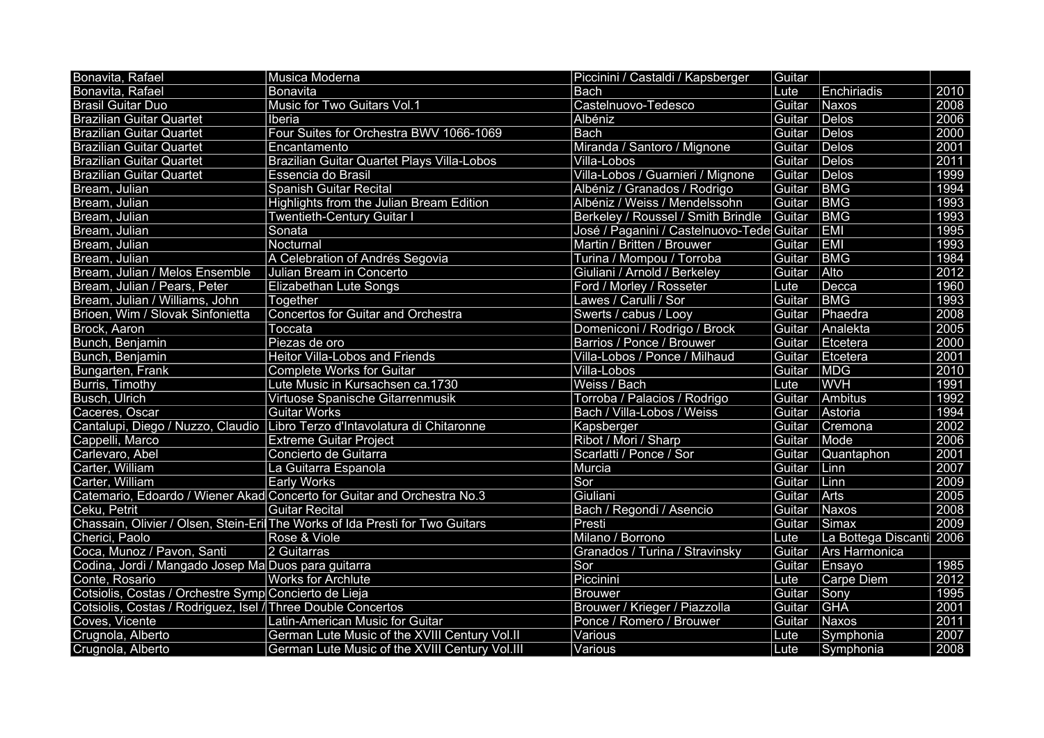| Bonavita, Rafael                                             | Musica Moderna                                                               | Piccinini / Castaldi / Kapsberger         | Guitar |                          |      |
|--------------------------------------------------------------|------------------------------------------------------------------------------|-------------------------------------------|--------|--------------------------|------|
| Bonavita, Rafael                                             | <b>Bonavita</b>                                                              | <b>Bach</b>                               | Lute   | Enchiriadis              | 2010 |
| <b>Brasil Guitar Duo</b>                                     | Music for Two Guitars Vol.1                                                  | Castelnuovo-Tedesco                       | Guitar | Naxos                    | 2008 |
| <b>Brazilian Guitar Quartet</b>                              | Iberia                                                                       | Albéniz                                   | Guitar | Delos                    | 2006 |
| <b>Brazilian Guitar Quartet</b>                              | Four Suites for Orchestra BWV 1066-1069                                      | <b>Bach</b>                               | Guitar | Delos                    | 2000 |
| <b>Brazilian Guitar Quartet</b>                              | Encantamento                                                                 | Miranda / Santoro / Mignone               | Guitar | Delos                    | 2001 |
| <b>Brazilian Guitar Quartet</b>                              | <b>Brazilian Guitar Quartet Plays Villa-Lobos</b>                            | Villa-Lobos                               | Guitar | Delos                    | 2011 |
| <b>Brazilian Guitar Quartet</b>                              | Essencia do Brasil                                                           | Villa-Lobos / Guarnieri / Mignone         | Guitar | Delos                    | 1999 |
| Bream, Julian                                                | <b>Spanish Guitar Recital</b>                                                | Albéniz / Granados / Rodrigo              | Guitar | <b>BMG</b>               | 1994 |
| Bream, Julian                                                | Highlights from the Julian Bream Edition                                     | Albéniz / Weiss / Mendelssohn             | Guitar | BMG                      | 1993 |
| Bream, Julian                                                | <b>Twentieth-Century Guitar I</b>                                            | Berkeley / Roussel / Smith Brindle        | Guitar | <b>BMG</b>               | 1993 |
| Bream, Julian                                                | Sonata                                                                       | José / Paganini / Castelnuovo-Tede Guitar |        | EMI                      | 1995 |
| Bream, Julian                                                | Nocturnal                                                                    | Martin / Britten / Brouwer                | Guitar | <b>EMI</b>               | 1993 |
| Bream, Julian                                                | A Celebration of Andrés Segovia                                              | Turina / Mompou / Torroba                 | Guitar | BMG                      | 1984 |
| Bream, Julian / Melos Ensemble                               | Julian Bream in Concerto                                                     | Giuliani / Arnold / Berkeley              | Guitar | Alto                     | 2012 |
| Bream, Julian / Pears, Peter                                 | <b>Elizabethan Lute Songs</b>                                                | Ford / Morley / Rosseter                  | Lute   | Decca                    | 1960 |
| Bream, Julian / Williams, John                               | Together                                                                     | Lawes / Carulli / Sor                     | Guitar | <b>BMG</b>               | 1993 |
| Brioen, Wim / Slovak Sinfonietta                             | <b>Concertos for Guitar and Orchestra</b>                                    | Swerts / cabus / Looy                     | Guitar | Phaedra                  | 2008 |
| Brock, Aaron                                                 | Toccata                                                                      | Domeniconi / Rodrigo / Brock              | Guitar | Analekta                 | 2005 |
| Bunch, Benjamin                                              | Piezas de oro                                                                | Barrios / Ponce / Brouwer                 | Guitar | Etcetera                 | 2000 |
| Bunch, Benjamin                                              | <b>Heitor Villa-Lobos and Friends</b>                                        | Villa-Lobos / Ponce / Milhaud             | Guitar | Etcetera                 | 2001 |
| Bungarten, Frank                                             | <b>Complete Works for Guitar</b>                                             | Villa-Lobos                               | Guitar | MDG                      | 2010 |
| Burris, Timothy                                              | Lute Music in Kursachsen ca.1730                                             | Weiss / Bach                              | Lute   | <b>WVH</b>               | 1991 |
| Busch, Ulrich                                                | Virtuose Spanische Gitarrenmusik                                             | Torroba / Palacios / Rodrigo              | Guitar | Ambitus                  | 1992 |
| Caceres, Oscar                                               | <b>Guitar Works</b>                                                          | Bach / Villa-Lobos / Weiss                | Guitar | Astoria                  | 1994 |
|                                                              | Cantalupi, Diego / Nuzzo, Claudio Libro Terzo d'Intavolatura di Chitaronne   | Kapsberger                                | Guitar | Cremona                  | 2002 |
| Cappelli, Marco                                              | <b>Extreme Guitar Project</b>                                                | Ribot / Mori / Sharp                      | Guitar | Mode                     | 2006 |
| Carlevaro, Abel                                              | Concierto de Guitarra                                                        | Scarlatti / Ponce / Sor                   | Guitar | Quantaphon               | 2001 |
| Carter, William                                              | La Guitarra Espanola                                                         | Murcia                                    | Guitar | Linn                     | 2007 |
| Carter, William                                              | <b>Early Works</b>                                                           | Sor                                       | Guitar | Linn                     | 2009 |
|                                                              | Catemario, Edoardo / Wiener Akad Concerto for Guitar and Orchestra No.3      | Giuliani                                  | Guitar | Arts                     | 2005 |
| Ceku, Petrit                                                 | <b>Guitar Recital</b>                                                        | Bach / Regondi / Asencio                  | Guitar | Naxos                    | 2008 |
|                                                              | Chassain, Olivier / Olsen, Stein-Eri The Works of Ida Presti for Two Guitars | Presti                                    | Guitar | Simax                    | 2009 |
| Cherici, Paolo                                               | Rose & Viole                                                                 | Milano / Borrono                          | Lute   | La Bottega Discanti 2006 |      |
| Coca, Munoz / Pavon, Santi                                   | 2 Guitarras                                                                  | Granados / Turina / Stravinsky            | Guitar | Ars Harmonica            |      |
| Codina, Jordi / Mangado Josep Ma Duos para guitarra          |                                                                              | Sor                                       | Guitar | Ensayo                   | 1985 |
| Conte, Rosario                                               | <b>Works for Archlute</b>                                                    | Piccinini                                 | Lute   | Carpe Diem               | 2012 |
| Cotsiolis, Costas / Orchestre Symp Concierto de Lieja        |                                                                              | <b>Brouwer</b>                            | Guitar | Sony                     | 1995 |
| Cotsiolis, Costas / Rodriguez, Isel / Three Double Concertos |                                                                              | Brouwer / Krieger / Piazzolla             | Guitar | <b>GHA</b>               | 2001 |
| Coves, Vicente                                               | Latin-American Music for Guitar                                              | Ponce / Romero / Brouwer                  | Guitar | Naxos                    | 2011 |
| Crugnola, Alberto                                            | German Lute Music of the XVIII Century Vol.II                                | Various                                   | Lute   | Symphonia                | 2007 |
| Crugnola, Alberto                                            | German Lute Music of the XVIII Century Vol.III                               | Various                                   | Lute   | Symphonia                | 2008 |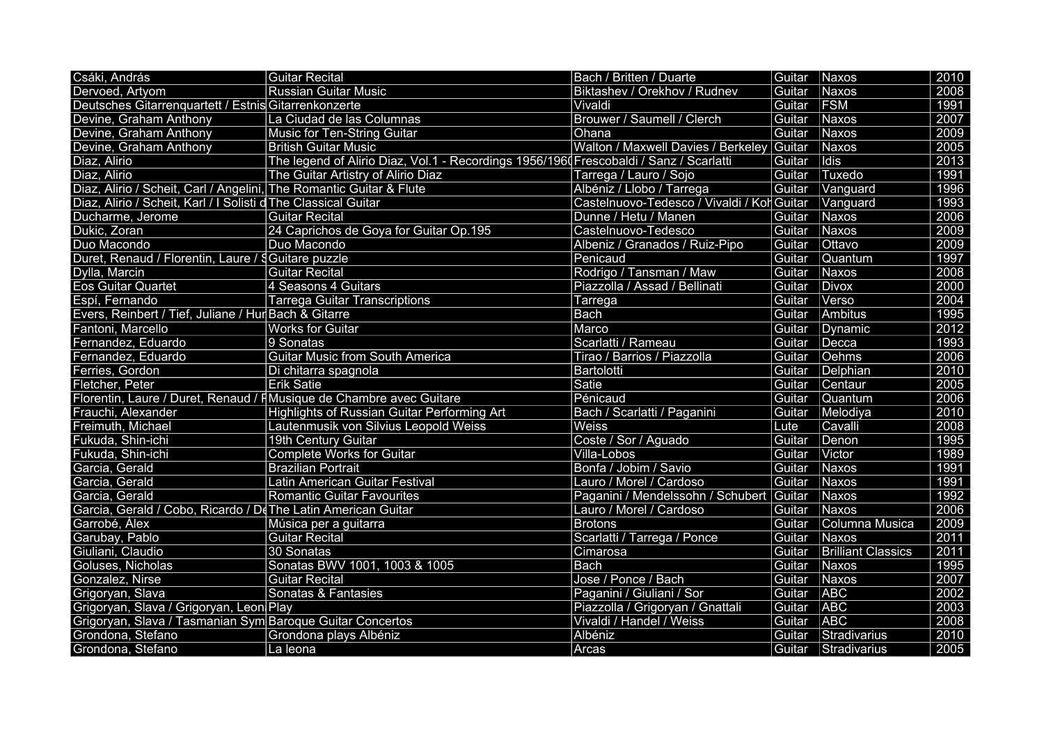| Csáki, András                                                       | <b>Guitar Recital</b>                                                                 | Bach / Britten / Duarte                    | Guitar | Naxos                     | 2010 |
|---------------------------------------------------------------------|---------------------------------------------------------------------------------------|--------------------------------------------|--------|---------------------------|------|
| Dervoed, Artyom                                                     | <b>Russian Guitar Music</b>                                                           | Biktashev / Orekhov / Rudnev               | Guitar | Naxos                     | 2008 |
| Deutsches Gitarrenquartett / Estnis Gitarrenkonzerte                |                                                                                       | Vivaldi                                    | Guitar | <b>FSM</b>                | 1991 |
| Devine, Graham Anthony                                              | La Ciudad de las Columnas                                                             | Brouwer / Saumell / Clerch                 | Guitar | Naxos                     | 2007 |
| Devine, Graham Anthony                                              | Music for Ten-String Guitar                                                           | Ohana                                      | Guitar | Naxos                     | 2009 |
| Devine, Graham Anthony                                              | <b>British Guitar Music</b>                                                           | Walton / Maxwell Davies / Berkeley Guitar  |        | Naxos                     | 2005 |
| Diaz, Alirio                                                        | The legend of Alirio Diaz, Vol.1 - Recordings 1956/196 Frescobaldi / Sanz / Scarlatti |                                            | Guitar | Idis                      | 2013 |
| Diaz, Alirio                                                        | The Guitar Artistry of Alirio Diaz                                                    | Tarrega / Lauro / Sojo                     | Guitar | Tuxedo                    | 1991 |
| Diaz, Alirio / Scheit, Carl / Angelini, The Romantic Guitar & Flute |                                                                                       | Albéniz / Llobo / Tarrega                  | Guitar | Vanguard                  | 1996 |
| Diaz, Alirio / Scheit, Karl / I Solisti d The Classical Guitar      |                                                                                       | Castelnuovo-Tedesco / Vivaldi / Kol Guitar |        | Vanguard                  | 1993 |
| Ducharme, Jerome                                                    | Guitar Recital                                                                        | Dunne / Hetu / Manen                       | Guitar | Naxos                     | 2006 |
| Dukic, Zoran                                                        | 24 Caprichos de Goya for Guitar Op.195                                                | Castelnuovo-Tedesco                        | Guitar | Naxos                     | 2009 |
| Duo Macondo                                                         | Duo Macondo                                                                           | Albeniz / Granados / Ruiz-Pipo             | Guitar | Ottavo                    | 2009 |
| Duret, Renaud / Florentin, Laure / § Guitare puzzle                 |                                                                                       | Penicaud                                   | Guitar | Quantum                   | 1997 |
| Dylla, Marcin                                                       | <b>Guitar Recital</b>                                                                 | Rodrigo / Tansman / Maw                    | Guitar | Naxos                     | 2008 |
| <b>Eos Guitar Quartet</b>                                           | 4 Seasons 4 Guitars                                                                   | Piazzolla / Assad / Bellinati              | Guitar | <b>Divox</b>              | 2000 |
| Espí, Fernando                                                      | <b>Tarrega Guitar Transcriptions</b>                                                  | Tarrega                                    | Guitar | Verso                     | 2004 |
| Evers, Reinbert / Tief, Juliane / Hur Bach & Gitarre                |                                                                                       | <b>Bach</b>                                | Guitar | Ambitus                   | 1995 |
| Fantoni, Marcello                                                   | <b>Works for Guitar</b>                                                               | Marco                                      | Guitar | Dynamic                   | 2012 |
| Fernandez, Eduardo                                                  | 9 Sonatas                                                                             | Scarlatti / Rameau                         | Guitar | Decca                     | 1993 |
| Fernandez, Eduardo                                                  | <b>Guitar Music from South America</b>                                                | Tirao / Barrios / Piazzolla                | Guitar | Oehms                     | 2006 |
| Ferries, Gordon                                                     | Di chitarra spagnola                                                                  | Bartolotti                                 | Guitar | Delphian                  | 2010 |
| Fletcher, Peter                                                     | Erik Satie                                                                            | Satie                                      | Guitar | Centaur                   | 2005 |
|                                                                     | Florentin, Laure / Duret, Renaud / FMusique de Chambre avec Guitare                   | Pénicaud                                   | Guitar | Quantum                   | 2006 |
| Frauchi, Alexander                                                  | Highlights of Russian Guitar Performing Art                                           | Bach / Scarlatti / Paganini                | Guitar | Melodiya                  | 2010 |
| Freimuth, Michael                                                   | Lautenmusik von Silvius Leopold Weiss                                                 | Weiss                                      | Lute   | Cavalli                   | 2008 |
| Fukuda, Shin-ichi                                                   | 19th Century Guitar                                                                   | Coste / Sor / Aguado                       | Guitar | Denon                     | 1995 |
| Fukuda, Shin-ichi                                                   | <b>Complete Works for Guitar</b>                                                      | Villa-Lobos                                | Guitar | Victor                    | 1989 |
| Garcia, Gerald                                                      | <b>Brazilian Portrait</b>                                                             | Bonfa / Jobim / Savio                      | Guitar | Naxos                     | 1991 |
| Garcia, Gerald                                                      | Latin American Guitar Festival                                                        | Lauro / Morel / Cardoso                    | Guitar | Naxos                     | 1991 |
| Garcia, Gerald                                                      | <b>Romantic Guitar Favourites</b>                                                     | Paganini / Mendelssohn / Schubert Guitar   |        | Naxos                     | 1992 |
| Garcia, Gerald / Cobo, Ricardo / De The Latin American Guitar       |                                                                                       | Lauro / Morel / Cardoso                    | Guitar | Naxos                     | 2006 |
| Garrobé, Àlex                                                       | Música per a guitarra                                                                 | <b>Brotons</b>                             | Guitar | Columna Musica            | 2009 |
| Garubay, Pablo                                                      | <b>Guitar Recital</b>                                                                 | Scarlatti / Tarrega / Ponce                | Guitar | Naxos                     | 2011 |
| Giuliani, Claudio                                                   | 30 Sonatas                                                                            | Cimarosa                                   | Guitar | <b>Brilliant Classics</b> | 2011 |
| Goluses, Nicholas                                                   | Sonatas BWV 1001, 1003 & 1005                                                         | <b>Bach</b>                                | Guitar | Naxos                     | 1995 |
| Gonzalez, Nirse                                                     | <b>Guitar Recital</b>                                                                 | Jose / Ponce / Bach                        | Guitar | Naxos                     | 2007 |
| Grigoryan, Slava                                                    | Sonatas & Fantasies                                                                   | Paganini / Giuliani / Sor                  | Guitar | <b>ABC</b>                | 2002 |
| Grigoryan, Slava / Grigoryan, Leon Play                             |                                                                                       | Piazzolla / Grigoryan / Gnattali           | Guitar | <b>ABC</b>                | 2003 |
| Grigoryan, Slava / Tasmanian Sym Baroque Guitar Concertos           |                                                                                       | Vivaldi / Handel / Weiss                   | Guitar | <b>ABC</b>                | 2008 |
| Grondona, Stefano                                                   | Grondona plays Albéniz                                                                | Albéniz                                    | Guitar | Stradivarius              | 2010 |
| Grondona, Stefano                                                   | La leona                                                                              | Arcas                                      | Guitar | Stradivarius              | 2005 |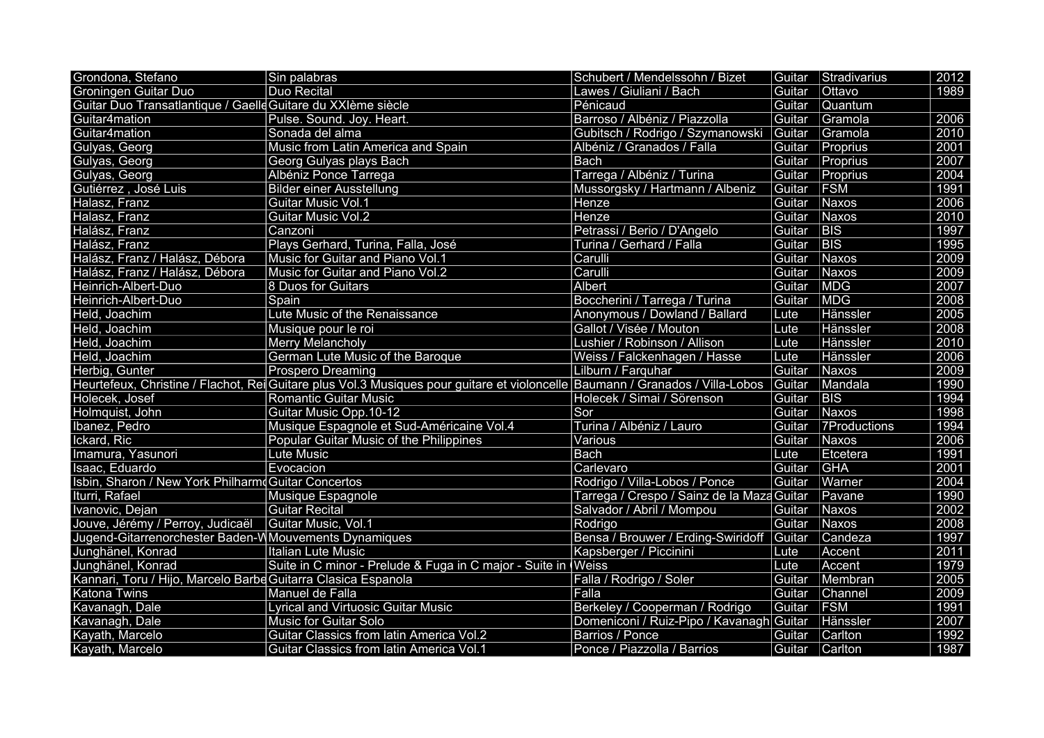| Grondona, Stefano                                             | Sin palabras                                                                                                                  | Schubert / Mendelssohn / Bizet             |        | Guitar Stradivarius | 2012 |
|---------------------------------------------------------------|-------------------------------------------------------------------------------------------------------------------------------|--------------------------------------------|--------|---------------------|------|
| <b>Groningen Guitar Duo</b>                                   | <b>Duo Recital</b>                                                                                                            | Lawes / Giuliani / Bach                    | Guitar | <b>Ottavo</b>       | 1989 |
| Guitar Duo Transatlantique / Gaelle Guitare du XXIème siècle  |                                                                                                                               | Pénicaud                                   | Guitar | Quantum             |      |
| Guitar4mation                                                 | Pulse. Sound. Joy. Heart.                                                                                                     | Barroso / Albéniz / Piazzolla              | Guitar | Gramola             | 2006 |
| Guitar4mation                                                 | Sonada del alma                                                                                                               | Gubitsch / Rodrigo / Szymanowski           | Guitar | Gramola             | 2010 |
| Gulyas, Georg                                                 | Music from Latin America and Spain                                                                                            | Albéniz / Granados / Falla                 | Guitar | Proprius            | 2001 |
| Gulyas, Georg                                                 | Georg Gulyas plays Bach                                                                                                       | <b>Bach</b>                                | Guitar | Proprius            | 2007 |
| Gulyas, Georg                                                 | Albéniz Ponce Tarrega                                                                                                         | Tarrega / Albéniz / Turina                 | Guitar | Proprius            | 2004 |
| Gutiérrez, José Luis                                          | <b>Bilder einer Ausstellung</b>                                                                                               | Mussorgsky / Hartmann / Albeniz            | Guitar | <b>FSM</b>          | 1991 |
| Halasz, Franz                                                 | Guitar Music Vol.1                                                                                                            | Henze                                      | Guitar | Naxos               | 2006 |
| Halasz, Franz                                                 | <b>Guitar Music Vol.2</b>                                                                                                     | Henze                                      | Guitar | Naxos               | 2010 |
| Halász, Franz                                                 | Canzoni                                                                                                                       | Petrassi / Berio / D'Angelo                | Guitar | <b>BIS</b>          | 1997 |
| Halász, Franz                                                 | Plays Gerhard, Turina, Falla, José                                                                                            | Turina / Gerhard / Falla                   | Guitar | <b>BIS</b>          | 1995 |
| Halász, Franz / Halász, Débora                                | Music for Guitar and Piano Vol.1                                                                                              | Carulli                                    | Guitar | Naxos               | 2009 |
| Halász, Franz / Halász, Débora                                | Music for Guitar and Piano Vol.2                                                                                              | Carulli                                    | Guitar | Naxos               | 2009 |
| Heinrich-Albert-Duo                                           | 8 Duos for Guitars                                                                                                            | <b>Albert</b>                              | Guitar | <b>MDG</b>          | 2007 |
| Heinrich-Albert-Duo                                           | Spain                                                                                                                         | Boccherini / Tarrega / Turina              | Guitar | <b>MDG</b>          | 2008 |
| Held, Joachim                                                 | Lute Music of the Renaissance                                                                                                 | Anonymous / Dowland / Ballard              | Lute   | Hänssler            | 2005 |
| Held, Joachim                                                 | Musique pour le roi                                                                                                           | Gallot / Visée / Mouton                    | Lute   | Hänssler            | 2008 |
| Held, Joachim                                                 | <b>Merry Melancholy</b>                                                                                                       | Lushier / Robinson / Allison               | Lute   | Hänssler            | 2010 |
| Held, Joachim                                                 | German Lute Music of the Baroque                                                                                              | Weiss / Falckenhagen / Hasse               | Lute   | Hänssler            | 2006 |
| Herbig, Gunter                                                | Prospero Dreaming                                                                                                             | Lilburn / Farquhar                         | Guitar | Naxos               | 2009 |
|                                                               | Heurtefeux, Christine / Flachot, Rei Guitare plus Vol.3 Musiques pour guitare et violoncelle Baumann / Granados / Villa-Lobos |                                            | Guitar | Mandala             | 1990 |
| Holecek, Josef                                                | <b>Romantic Guitar Music</b>                                                                                                  | Holecek / Simai / Sörenson                 | Guitar | <b>BIS</b>          | 1994 |
| Holmquist, John                                               | Guitar Music Opp.10-12                                                                                                        | Sor                                        | Guitar | Naxos               | 1998 |
| Ibanez, Pedro                                                 | Musique Espagnole et Sud-Américaine Vol.4                                                                                     | Turina / Albéniz / Lauro                   | Guitar | 7Productions        | 1994 |
| Ickard, Ric                                                   | Popular Guitar Music of the Philippines                                                                                       | Various                                    | Guitar | Naxos               | 2006 |
| Imamura, Yasunori                                             | Lute Music                                                                                                                    | <b>Bach</b>                                | Lute   | Etcetera            | 1991 |
| Isaac, Eduardo                                                | Evocacion                                                                                                                     | Carlevaro                                  | Guitar | GHA                 | 2001 |
| Isbin, Sharon / New York Philharm Guitar Concertos            |                                                                                                                               | Rodrigo / Villa-Lobos / Ponce              | Guitar | Warner              | 2004 |
| Iturri, Rafael                                                | Musique Espagnole                                                                                                             | Tarrega / Crespo / Sainz de la Maza Guitar |        | Pavane              | 1990 |
| Ivanovic, Dejan                                               | <b>Guitar Recital</b>                                                                                                         | Salvador / Abril / Mompou                  | Guitar | <b>Naxos</b>        | 2002 |
| Jouve, Jérémy / Perroy, Judicaël                              | Guitar Music, Vol.1                                                                                                           | Rodrigo                                    | Guitar | Naxos               | 2008 |
| Jugend-Gitarrenorchester Baden-W Mouvements Dynamiques        |                                                                                                                               | Bensa / Brouwer / Erding-Swiridoff         | Guitar | Candeza             | 1997 |
| Junghänel, Konrad                                             | Italian Lute Music                                                                                                            | Kapsberger / Piccinini                     | Lute   | Accent              | 2011 |
| Junghänel, Konrad                                             | Suite in C minor - Prelude & Fuga in C major - Suite in Weiss                                                                 |                                            | Lute   | Accent              | 1979 |
| Kannari, Toru / Hijo, Marcelo Barbe Guitarra Clasica Espanola |                                                                                                                               | Falla / Rodrigo / Soler                    | Guitar | Membran             | 2005 |
| Katona Twins                                                  | Manuel de Falla                                                                                                               | Falla                                      | Guitar | Channel             | 2009 |
| Kavanagh, Dale                                                | <b>Lyrical and Virtuosic Guitar Music</b>                                                                                     | Berkeley / Cooperman / Rodrigo             | Guitar | <b>FSM</b>          | 1991 |
| Kavanagh, Dale                                                | <b>Music for Guitar Solo</b>                                                                                                  | Domeniconi / Ruiz-Pipo / Kavanagh Guitar   |        | Hänssler            | 2007 |
| Kayath, Marcelo                                               | Guitar Classics from latin America Vol.2                                                                                      | Barrios / Ponce                            | Guitar | Carlton             | 1992 |
| Kayath, Marcelo                                               | Guitar Classics from latin America Vol.1                                                                                      | Ponce / Piazzolla / Barrios                | Guitar | Carlton             | 1987 |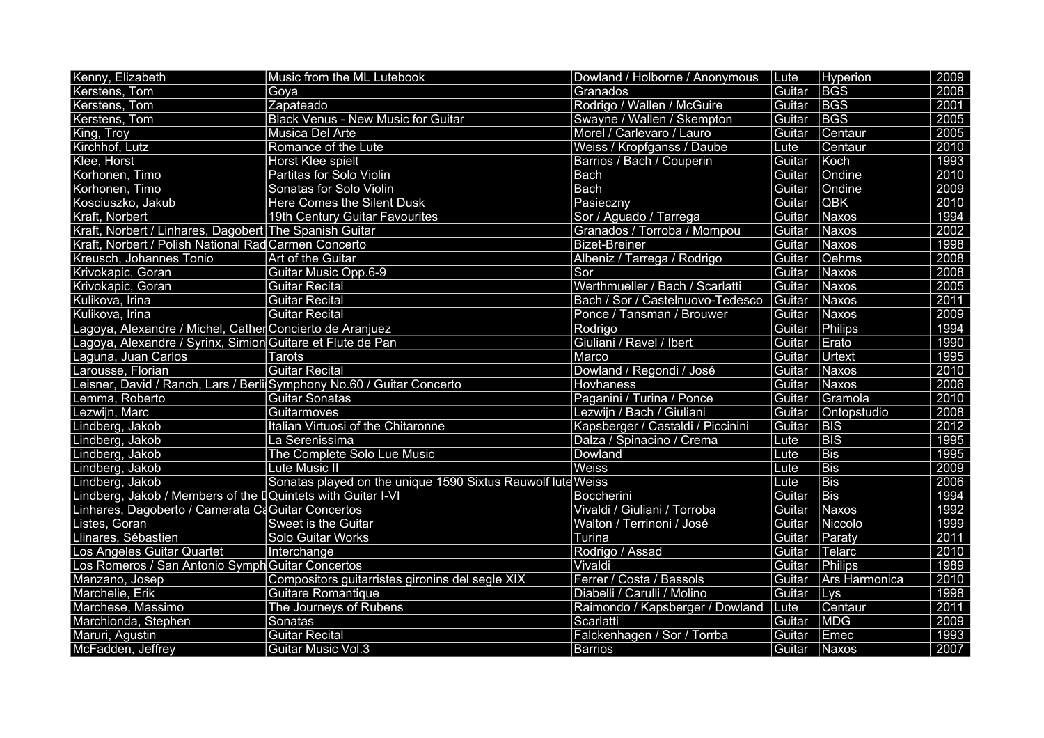| Kenny, Elizabeth                                            | Music from the ML Lutebook                                            | Dowland / Holborne / Anonymous    | Lute   | Hyperion      | 2009              |
|-------------------------------------------------------------|-----------------------------------------------------------------------|-----------------------------------|--------|---------------|-------------------|
| Kerstens, Tom                                               | Goya                                                                  | Granados                          | Guitar | <b>BGS</b>    | 2008              |
| Kerstens, Tom                                               | Zapateado                                                             | Rodrigo / Wallen / McGuire        | Guitar | <b>BGS</b>    | 2001              |
| Kerstens, Tom                                               | <b>Black Venus - New Music for Guitar</b>                             | Swayne / Wallen / Skempton        | Guitar | <b>BGS</b>    | $\overline{2005}$ |
| King, Troy                                                  | Musica Del Arte                                                       | Morel / Carlevaro / Lauro         | Guitar | Centaur       | 2005              |
| Kirchhof, Lutz                                              | Romance of the Lute                                                   | Weiss / Kropfganss / Daube        | Lute   | Centaur       | 2010              |
| Klee, Horst                                                 | <b>Horst Klee spielt</b>                                              | Barrios / Bach / Couperin         | Guitar | Koch          | 1993              |
| Korhonen, Timo                                              | Partitas for Solo Violin                                              | <b>Bach</b>                       | Guitar | Ondine        | 2010              |
| Korhonen, Timo                                              | Sonatas for Solo Violin                                               | <b>Bach</b>                       | Guitar | Ondine        | 2009              |
| Kosciuszko, Jakub                                           | <b>Here Comes the Silent Dusk</b>                                     | Pasieczny                         | Guitar | <b>QBK</b>    | 2010              |
| Kraft, Norbert                                              | 19th Century Guitar Favourites                                        | Sor / Aguado / Tarrega            | Guitar | Naxos         | 1994              |
| Kraft, Norbert / Linhares, Dagobert The Spanish Guitar      |                                                                       | Granados / Torroba / Mompou       | Guitar | Naxos         | 2002              |
| Kraft, Norbert / Polish National Rad Carmen Concerto        |                                                                       | <b>Bizet-Breiner</b>              | Guitar | Naxos         | 1998              |
| Kreusch, Johannes Tonio                                     | Art of the Guitar                                                     | Albeniz / Tarrega / Rodrigo       | Guitar | Oehms         | 2008              |
| Krivokapic, Goran                                           | <b>Guitar Music Opp.6-9</b>                                           | Sor                               | Guitar | Naxos         | 2008              |
| Krivokapic, Goran                                           | <b>Guitar Recital</b>                                                 | Werthmueller / Bach / Scarlatti   | Guitar | Naxos         | 2005              |
| Kulikova, Irina                                             | <b>Guitar Recital</b>                                                 | Bach / Sor / Castelnuovo-Tedesco  | Guitar | Naxos         | 2011              |
| Kulikova, Irina                                             | Guitar Recital                                                        | Ponce / Tansman / Brouwer         | Guitar | Naxos         | 2009              |
| Lagoya, Alexandre / Michel, Cather Concierto de Aranjuez    |                                                                       | Rodrigo                           | Guitar | Philips       | 1994              |
| Lagoya, Alexandre / Syrinx, Simion Guitare et Flute de Pan  |                                                                       | Giuliani / Ravel / Ibert          | Guitar | Erato         | 1990              |
| Laguna, Juan Carlos                                         | Tarots                                                                | Marco                             | Guitar | Urtext        | 1995              |
| Larousse, Florian                                           | Guitar Recital                                                        | Dowland / Regondi / José          | Guitar | Naxos         | $\overline{2010}$ |
|                                                             | Leisner, David / Ranch, Lars / Berli Symphony No.60 / Guitar Concerto | Hovhaness                         | Guitar | Naxos         | 2006              |
| Lemma, Roberto                                              | <b>Guitar Sonatas</b>                                                 | Paganini / Turina / Ponce         | Guitar | Gramola       | 2010              |
| Lezwijn, Marc                                               | Guitarmoves                                                           | Lezwijn / Bach / Giuliani         | Guitar | Ontopstudio   | 2008              |
| Lindberg, Jakob                                             | Italian Virtuosi of the Chitaronne                                    | Kapsberger / Castaldi / Piccinini | Guitar | <b>BIS</b>    | 2012              |
| Lindberg, Jakob                                             | La Serenissima                                                        | Dalza / Spinacino / Crema         | Lute   | <b>BIS</b>    | 1995              |
| Lindberg, Jakob                                             | The Complete Solo Lue Music                                           | Dowland                           | Lute   | <b>Bis</b>    | 1995              |
| Lindberg, Jakob                                             | Lute Music II                                                         | <b>Weiss</b>                      | Lute   | <b>Bis</b>    | 2009              |
| Lindberg, Jakob                                             | Sonatas played on the unique 1590 Sixtus Rauwolf lute Weiss           |                                   | Lute   | <b>Bis</b>    | 2006              |
| Lindberg, Jakob / Members of the [Quintets with Guitar I-VI |                                                                       | <b>Boccherini</b>                 | Guitar | <b>Bis</b>    | 1994              |
| Linhares, Dagoberto / Camerata Ca Guitar Concertos          |                                                                       | Vivaldi / Giuliani / Torroba      | Guitar | Naxos         | 1992              |
| Listes, Goran                                               | <b>Sweet is the Guitar</b>                                            | Walton / Terrinoni / José         | Guitar | Niccolo       | 1999              |
| Llinares, Sébastien                                         | Solo Guitar Works                                                     | Turina                            | Guitar | Paraty        | 2011              |
| Los Angeles Guitar Quartet                                  | Interchange                                                           | Rodrigo / Assad                   | Guitar | Telarc        | 2010              |
| Los Romeros / San Antonio Symph Guitar Concertos            |                                                                       | Vivaldi                           | Guitar | Philips       | 1989              |
| Manzano, Josep                                              | Compositors guitarristes gironins del segle XIX                       | Ferrer / Costa / Bassols          | Guitar | Ars Harmonica | 2010              |
| Marchelie, Erik                                             | <b>Guitare Romantique</b>                                             | Diabelli / Carulli / Molino       | Guitar | Lys           | 1998              |
| Marchese, Massimo                                           | The Journeys of Rubens                                                | Raimondo / Kapsberger / Dowland   | Lute   | Centaur       | 2011              |
| Marchionda, Stephen                                         | Sonatas                                                               | Scarlatti                         | Guitar | <b>MDG</b>    | 2009              |
| Maruri, Agustin                                             | <b>Guitar Recital</b>                                                 | Falckenhagen / Sor / Torrba       | Guitar | Emec          | 1993              |
| McFadden, Jeffrey                                           | Guitar Music Vol.3                                                    | <b>Barrios</b>                    | Guitar | Naxos         | 2007              |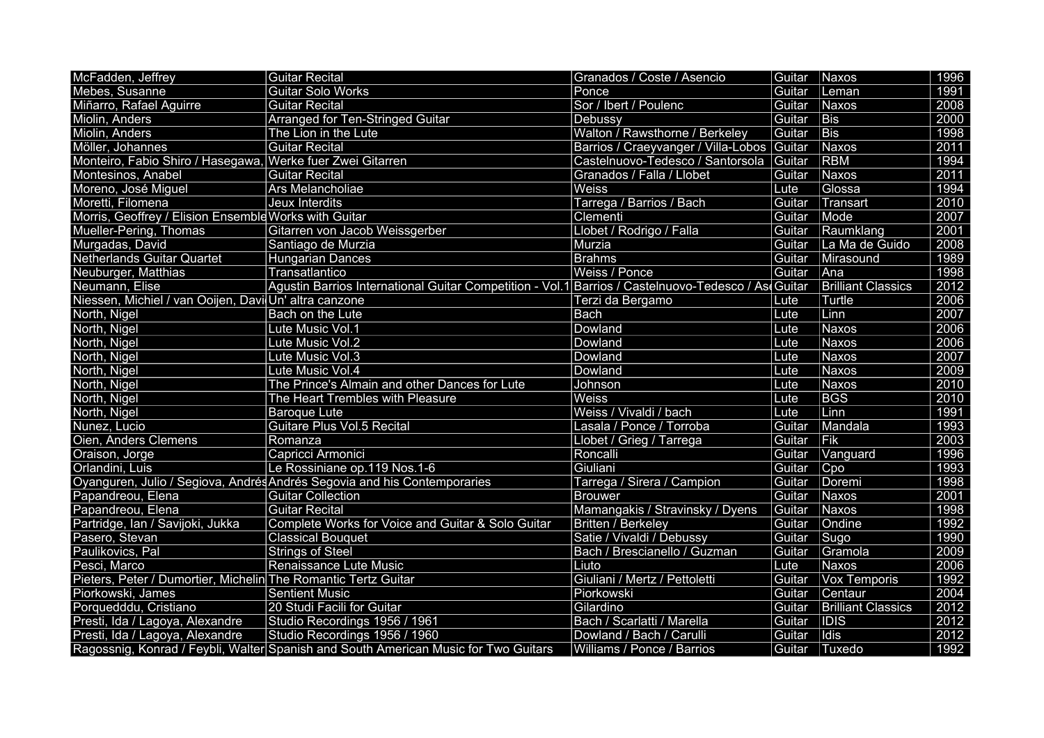| McFadden, Jeffrey                                              | <b>Guitar Recital</b>                                                                              | Granados / Coste / Asencio                 | Guitar | Naxos                     | 1996 |
|----------------------------------------------------------------|----------------------------------------------------------------------------------------------------|--------------------------------------------|--------|---------------------------|------|
| Mebes, Susanne                                                 | <b>Guitar Solo Works</b>                                                                           | Ponce                                      | Guitar | Leman                     | 1991 |
| Miñarro, Rafael Aguirre                                        | <b>Guitar Recital</b>                                                                              | Sor / Ibert / Poulenc                      | Guitar | Naxos                     | 2008 |
| Miolin, Anders                                                 | Arranged for Ten-Stringed Guitar                                                                   | Debussy                                    | Guitar | <b>Bis</b>                | 2000 |
| Miolin, Anders                                                 | The Lion in the Lute                                                                               | Walton / Rawsthorne / Berkeley             | Guitar | <b>Bis</b>                | 1998 |
| Möller, Johannes                                               | Guitar Recital                                                                                     | Barrios / Craeyvanger / Villa-Lobos Guitar |        | Naxos                     | 2011 |
| Monteiro, Fabio Shiro / Hasegawa, Werke fuer Zwei Gitarren     |                                                                                                    | Castelnuovo-Tedesco / Santorsola Guitar    |        | <b>RBM</b>                | 1994 |
| Montesinos, Anabel                                             | Guitar Recital                                                                                     | Granados / Falla / Llobet                  | Guitar | Naxos                     | 2011 |
| Moreno, José Miguel                                            | Ars Melancholiae                                                                                   | Weiss                                      | Lute   | Glossa                    | 1994 |
| Moretti, Filomena                                              | Jeux Interdits                                                                                     | Tarrega / Barrios / Bach                   | Guitar | Transart                  | 2010 |
| Morris, Geoffrey / Elision Ensemble Works with Guitar          |                                                                                                    | Clementi                                   | Guitar | Mode                      | 2007 |
| Mueller-Pering, Thomas                                         | Gitarren von Jacob Weissgerber                                                                     | Llobet / Rodrigo / Falla                   | Guitar | Raumklang                 | 2001 |
| Murgadas, David                                                | Santiago de Murzia                                                                                 | Murzia                                     | Guitar | La Ma de Guido            | 2008 |
| Netherlands Guitar Quartet                                     | Hungarian Dances                                                                                   | <b>Brahms</b>                              | Guitar | Mirasound                 | 1989 |
| Neuburger, Matthias                                            | Transatlantico                                                                                     | Weiss / Ponce                              | Guitar | Ana                       | 1998 |
| Neumann, Elise                                                 | Agustin Barrios International Guitar Competition - Vol.1 Barrios / Castelnuovo-Tedesco / As Guitar |                                            |        | <b>Brilliant Classics</b> | 2012 |
| Niessen, Michiel / van Ooijen, Davi Un' altra canzone          |                                                                                                    | Terzi da Bergamo                           | Lute   | Turtle                    | 2006 |
| North, Nigel                                                   | Bach on the Lute                                                                                   | <b>Bach</b>                                | Lute   | Linn                      | 2007 |
| North, Nigel                                                   | Lute Music Vol.1                                                                                   | Dowland                                    | Lute   | Naxos                     | 2006 |
| North, Nigel                                                   | Lute Music Vol.2                                                                                   | Dowland                                    | Lute   | Naxos                     | 2006 |
| North, Nigel                                                   | Lute Music Vol.3                                                                                   | Dowland                                    | Lute   | Naxos                     | 2007 |
| North, Nigel                                                   | Lute Music Vol.4                                                                                   | Dowland                                    | Lute   | Naxos                     | 2009 |
| North, Nigel                                                   | The Prince's Almain and other Dances for Lute                                                      | Johnson                                    | Lute   | Naxos                     | 2010 |
| North, Nigel                                                   | The Heart Trembles with Pleasure                                                                   | <b>Weiss</b>                               | Lute   | <b>BGS</b>                | 2010 |
| North, Nigel                                                   | <b>Baroque Lute</b>                                                                                | Weiss / Vivaldi / bach                     | Lute   | Linn                      | 1991 |
| Nunez, Lucio                                                   | <b>Guitare Plus Vol.5 Recital</b>                                                                  | Lasala / Ponce / Torroba                   | Guitar | Mandala                   | 1993 |
| Oien, Anders Clemens                                           | Romanza                                                                                            | Llobet / Grieg / Tarrega                   | Guitar | Fik                       | 2003 |
| Oraison, Jorge                                                 | Capricci Armonici                                                                                  | Roncalli                                   | Guitar | Vanguard                  | 1996 |
| Orlandini, Luis                                                | Le Rossiniane op.119 Nos.1-6                                                                       | Giuliani                                   | Guitar | Cpo                       | 1993 |
|                                                                | Oyanguren, Julio / Segiova, Andrés Andrés Segovia and his Contemporaries                           | Tarrega / Sirera / Campion                 | Guitar | Doremi                    | 1998 |
| Papandreou, Elena                                              | <b>Guitar Collection</b>                                                                           | <b>Brouwer</b>                             | Guitar | Naxos                     | 2001 |
| Papandreou, Elena                                              | <b>Guitar Recital</b>                                                                              | Mamangakis / Stravinsky / Dyens            | Guitar | Naxos                     | 1998 |
| Partridge, Ian / Savijoki, Jukka                               | Complete Works for Voice and Guitar & Solo Guitar                                                  | Britten / Berkeley                         | Guitar | Ondine                    | 1992 |
| Pasero, Stevan                                                 | <b>Classical Bouquet</b>                                                                           | Satie / Vivaldi / Debussy                  | Guitar | Sugo                      | 1990 |
| Paulikovics, Pal                                               | Strings of Steel                                                                                   | Bach / Brescianello / Guzman               | Guitar | Gramola                   | 2009 |
| Pesci, Marco                                                   | Renaissance Lute Music                                                                             | Liuto                                      | Lute   | Naxos                     | 2006 |
| Pieters, Peter / Dumortier, Michelin The Romantic Tertz Guitar |                                                                                                    | Giuliani / Mertz / Pettoletti              | Guitar | Vox Temporis              | 1992 |
| Piorkowski, James                                              | <b>Sentient Music</b>                                                                              | Piorkowski                                 | Guitar | Centaur                   | 2004 |
| Porquedddu, Cristiano                                          | 20 Studi Facili for Guitar                                                                         | Gilardino                                  | Guitar | <b>Brilliant Classics</b> | 2012 |
| Presti, Ida / Lagoya, Alexandre                                | Studio Recordings 1956 / 1961                                                                      | Bach / Scarlatti / Marella                 | Guitar | <b>IDIS</b>               | 2012 |
| Presti, Ida / Lagoya, Alexandre                                | Studio Recordings 1956 / 1960                                                                      | Dowland / Bach / Carulli                   | Guitar | Idis                      | 2012 |
|                                                                | Ragossnig, Konrad / Feybli, Walter Spanish and South American Music for Two Guitars                | Williams / Ponce / Barrios                 | Guitar | Tuxedo                    | 1992 |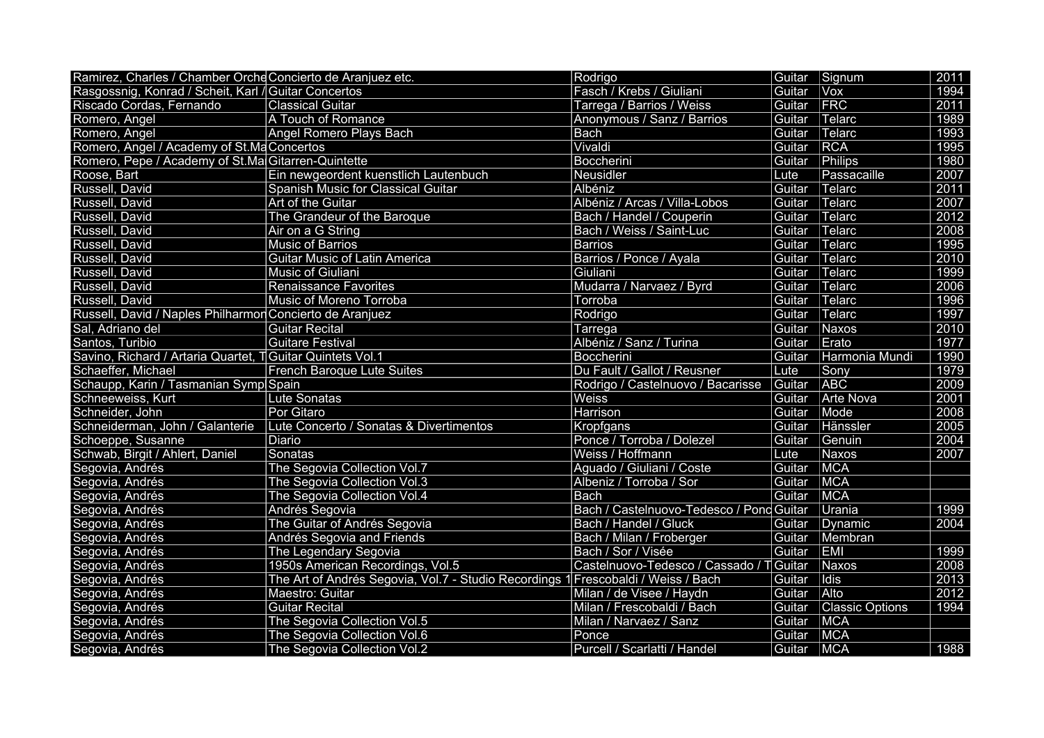| Ramirez, Charles / Chamber Orche Concierto de Aranjuez etc. |                                                                                   | Rodrigo                                  |        | Guitar Signum          | 2011 |
|-------------------------------------------------------------|-----------------------------------------------------------------------------------|------------------------------------------|--------|------------------------|------|
| Rasgossnig, Konrad / Scheit, Karl / Guitar Concertos        |                                                                                   | Fasch / Krebs / Giuliani                 | Guitar | <b>Vox</b>             | 1994 |
| Riscado Cordas, Fernando                                    | <b>Classical Guitar</b>                                                           | Tarrega / Barrios / Weiss                | Guitar | FRC                    | 2011 |
| Romero, Angel                                               | A Touch of Romance                                                                | Anonymous / Sanz / Barrios               | Guitar | Telarc                 | 1989 |
| Romero, Angel                                               | Angel Romero Plays Bach                                                           | Bach                                     | Guitar | Telarc                 | 1993 |
| Romero, Angel / Academy of St.Ma Concertos                  |                                                                                   | Vivaldi                                  | Guitar | RCA                    | 1995 |
| Romero, Pepe / Academy of St.Ma Gitarren-Quintette          |                                                                                   | Boccherini                               | Guitar | Philips                | 1980 |
| Roose, Bart                                                 | Ein newgeordent kuenstlich Lautenbuch                                             | Neusidler                                | Lute   | Passacaille            | 2007 |
| Russell, David                                              | Spanish Music for Classical Guitar                                                | Albéniz                                  | Guitar | Telarc                 | 2011 |
| Russell, David                                              | Art of the Guitar                                                                 | Albéniz / Arcas / Villa-Lobos            | Guitar | Telarc                 | 2007 |
| Russell, David                                              | The Grandeur of the Baroque                                                       | Bach / Handel / Couperin                 | Guitar | Telarc                 | 2012 |
| Russell, David                                              | Air on a G String                                                                 | Bach / Weiss / Saint-Luc                 | Guitar | Telarc                 | 2008 |
| Russell, David                                              | <b>Music of Barrios</b>                                                           | <b>Barrios</b>                           | Guitar | Telarc                 | 1995 |
| Russell, David                                              | <b>Guitar Music of Latin America</b>                                              | Barrios / Ponce / Ayala                  | Guitar | Telarc                 | 2010 |
| Russell, David                                              | Music of Giuliani                                                                 | Giuliani                                 | Guitar | $T$ elarc              | 1999 |
| Russell, David                                              | <b>Renaissance Favorites</b>                                                      | Mudarra / Narvaez / Byrd                 | Guitar | Telarc                 | 2006 |
| Russell, David                                              | Music of Moreno Torroba                                                           | Torroba                                  | Guitar | Telarc                 | 1996 |
| Russell, David / Naples Philharmon Concierto de Aranjuez    |                                                                                   | Rodrigo                                  | Guitar | Telarc                 | 1997 |
| Sal, Adriano del                                            | <b>Guitar Recital</b>                                                             | Tarrega                                  | Guitar | Naxos                  | 2010 |
| Santos, Turibio                                             | <b>Guitare Festival</b>                                                           | Albéniz / Sanz / Turina                  | Guitar | Erato                  | 1977 |
| Savino, Richard / Artaria Quartet, T Guitar Quintets Vol.1  |                                                                                   | Boccherini                               | Guitar | Harmonia Mundi         | 1990 |
| Schaeffer, Michael                                          | <b>French Baroque Lute Suites</b>                                                 | Du Fault / Gallot / Reusner              | Lute   | Sony                   | 1979 |
| Schaupp, Karin / Tasmanian Symp Spain                       |                                                                                   | Rodrigo / Castelnuovo / Bacarisse        | Guitar | ABC                    | 2009 |
| Schneeweiss, Kurt                                           | <b>Lute Sonatas</b>                                                               | Weiss                                    | Guitar | Arte Nova              | 2001 |
| Schneider, John                                             | Por Gitaro                                                                        | Harrison                                 | Guitar | Mode                   | 2008 |
| Schneiderman, John / Galanterie                             | Lute Concerto / Sonatas & Divertimentos                                           | <b>Kropfgans</b>                         | Guitar | Hänssler               | 2005 |
| Schoeppe, Susanne                                           | Diario                                                                            | Ponce / Torroba / Dolezel                | Guitar | Genuin                 | 2004 |
| Schwab, Birgit / Ahlert, Daniel                             | Sonatas                                                                           | Weiss / Hoffmann                         | Lute   | Naxos                  | 2007 |
| Segovia, Andrés                                             | The Segovia Collection Vol.7                                                      | Aguado / Giuliani / Coste                | Guitar | <b>MCA</b>             |      |
| Segovia, Andrés                                             | The Segovia Collection Vol.3                                                      | Albeniz / Torroba / Sor                  | Guitar | <b>MCA</b>             |      |
| Segovia, Andrés                                             | The Segovia Collection Vol.4                                                      | <b>Bach</b>                              | Guitar | <b>MCA</b>             |      |
| Segovia, Andrés                                             | Andrés Segovia                                                                    | Bach / Castelnuovo-Tedesco / Pond Guitar |        | Urania                 | 1999 |
| Segovia, Andrés                                             | The Guitar of Andrés Segovia                                                      | Bach / Handel / Gluck                    | Guitar | Dynamic                | 2004 |
| Segovia, Andrés                                             | Andrés Segovia and Friends                                                        | Bach / Milan / Froberger                 | Guitar | Membran                |      |
| Segovia, Andrés                                             | The Legendary Segovia                                                             | Bach / Sor / Visée                       | Guitar | EMI                    | 1999 |
| Segovia, Andrés                                             | 1950s American Recordings, Vol.5                                                  | Castelnuovo-Tedesco / Cassado / T Guitar |        | Naxos                  | 2008 |
| Segovia, Andrés                                             | The Art of Andrés Segovia, Vol.7 - Studio Recordings 1 Frescobaldi / Weiss / Bach |                                          | Guitar | Idis                   | 2013 |
| Segovia, Andrés                                             | Maestro: Guitar                                                                   | Milan / de Visee / Haydn                 | Guitar | Alto                   | 2012 |
| Segovia, Andrés                                             | <b>Guitar Recital</b>                                                             | Milan / Frescobaldi / Bach               | Guitar | <b>Classic Options</b> | 1994 |
| Segovia, Andrés                                             | The Segovia Collection Vol.5                                                      | Milan / Narvaez / Sanz                   | Guitar | <b>MCA</b>             |      |
| Segovia, Andrés                                             | The Segovia Collection Vol.6                                                      | Ponce                                    | Guitar | <b>MCA</b>             |      |
| Segovia, Andrés                                             | The Segovia Collection Vol.2                                                      | Purcell / Scarlatti / Handel             | Guitar | <b>MCA</b>             | 1988 |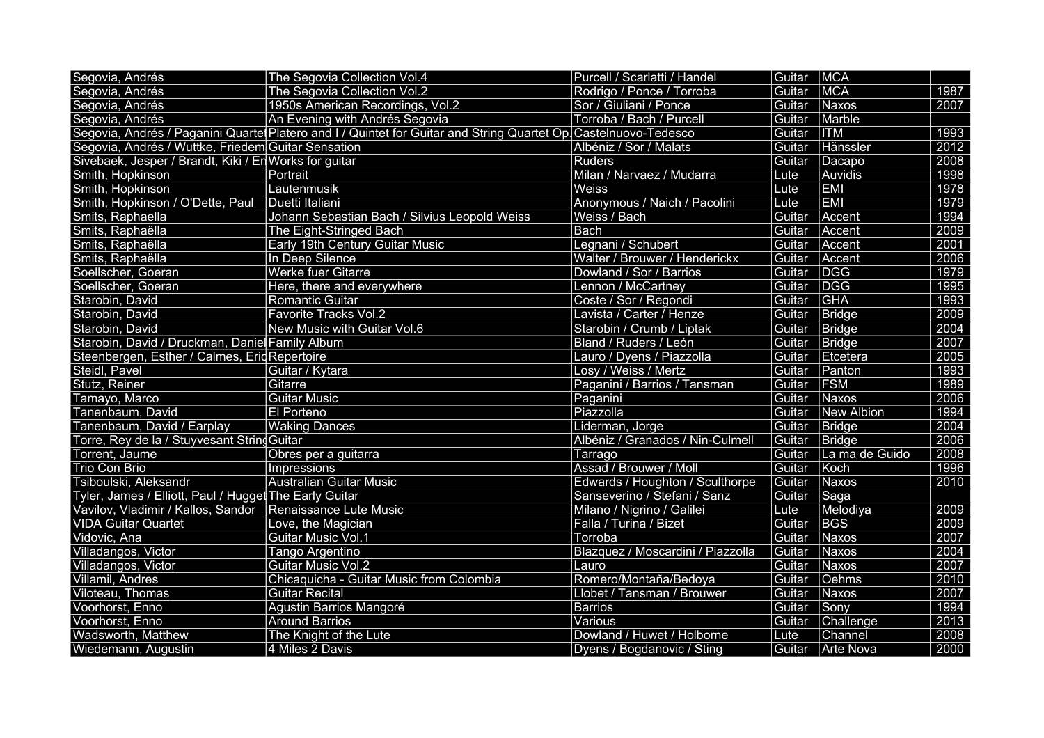| Segovia, Andrés                                           | The Segovia Collection Vol.4                                                                                   | Purcell / Scarlatti / Handel      | Guitar   MCA |                    |      |
|-----------------------------------------------------------|----------------------------------------------------------------------------------------------------------------|-----------------------------------|--------------|--------------------|------|
| Segovia, Andrés                                           | The Segovia Collection Vol.2                                                                                   | Rodrigo / Ponce / Torroba         | Guitar       | MCA                | 1987 |
| Segovia, Andrés                                           | 1950s American Recordings, Vol.2                                                                               | Sor / Giuliani / Ponce            | Guitar       | Naxos              | 2007 |
| Segovia, Andrés                                           | An Evening with Andrés Segovia                                                                                 | Torroba / Bach / Purcell          | Guitar       | Marble             |      |
|                                                           | Segovia, Andrés / Paganini Quarte Platero and I / Quintet for Guitar and String Quartet Op Castelnuovo-Tedesco |                                   | Guitar       | <b>ITM</b>         | 1993 |
| Segovia, Andrés / Wuttke, Friedem Guitar Sensation        |                                                                                                                | Albéniz / Sor / Malats            | Guitar       | Hänssler           | 2012 |
| Sivebaek, Jesper / Brandt, Kiki / En Works for guitar     |                                                                                                                | <b>Ruders</b>                     | Guitar       | Dacapo             | 2008 |
| Smith, Hopkinson                                          | Portrait                                                                                                       | Milan / Narvaez / Mudarra         | Lute         | Auvidis            | 1998 |
| Smith, Hopkinson                                          | Lautenmusik                                                                                                    | Weiss                             | Lute         | <b>EMI</b>         | 1978 |
| Smith, Hopkinson / O'Dette, Paul                          | Duetti Italiani                                                                                                | Anonymous / Naich / Pacolini      | Lute         | <b>EMI</b>         | 1979 |
| Smits, Raphaella                                          | Johann Sebastian Bach / Silvius Leopold Weiss                                                                  | Weiss / Bach                      | Guitar       | Accent             | 1994 |
| Smits, Raphaëlla                                          | The Eight-Stringed Bach                                                                                        | <b>Bach</b>                       | Guitar       | Accent             | 2009 |
| Smits, Raphaëlla                                          | Early 19th Century Guitar Music                                                                                | Legnani / Schubert                | Guitar       | Accent             | 2001 |
| Smits, Raphaëlla                                          | In Deep Silence                                                                                                | Walter / Brouwer / Henderickx     | Guitar       | Accent             | 2006 |
| Soellscher, Goeran                                        | <b>Werke fuer Gitarre</b>                                                                                      | Dowland / Sor / Barrios           | Guitar       | <b>DGG</b>         | 1979 |
| Soellscher, Goeran                                        | Here, there and everywhere                                                                                     | Lennon / McCartney                | Guitar       | DGG                | 1995 |
| Starobin, David                                           | <b>Romantic Guitar</b>                                                                                         | Coste / Sor / Regondi             | Guitar       | <b>GHA</b>         | 1993 |
| Starobin, David                                           | <b>Favorite Tracks Vol.2</b>                                                                                   | Lavista / Carter / Henze          | Guitar       | Bridge             | 2009 |
| Starobin, David                                           | New Music with Guitar Vol.6                                                                                    | Starobin / Crumb / Liptak         | Guitar       | Bridge             | 2004 |
| Starobin, David / Druckman, Daniel Family Album           |                                                                                                                | Bland / Ruders / León             | Guitar       | Bridge             | 2007 |
| Steenbergen, Esther / Calmes, Erid Repertoire             |                                                                                                                | Lauro / Dyens / Piazzolla         | Guitar       | Etcetera           | 2005 |
| Steidl, Pavel                                             | Guitar / Kytara                                                                                                | Losy / Weiss / Mertz              | Guitar       | Panton             | 1993 |
| Stutz, Reiner                                             | Gitarre                                                                                                        | Paganini / Barrios / Tansman      | Guitar       | <b>FSM</b>         | 1989 |
| Tamayo, Marco                                             | <b>Guitar Music</b>                                                                                            | Paganini                          | Guitar       | Naxos              | 2006 |
| Tanenbaum, David                                          | <b>El Porteno</b>                                                                                              | Piazzolla                         | Guitar       | New Albion         | 1994 |
| Tanenbaum, David / Earplay                                | <b>Waking Dances</b>                                                                                           | Liderman, Jorge                   | Guitar       | Bridge             | 2004 |
| Torre, Rey de la / Stuyvesant String Guitar               |                                                                                                                | Albéniz / Granados / Nin-Culmell  | Guitar       | Bridge             | 2006 |
| Torrent, Jaume                                            | Obres per a guitarra                                                                                           | Tarrago                           | Guitar       | La ma de Guido     | 2008 |
| <b>Trio Con Brio</b>                                      | Impressions                                                                                                    | Assad / Brouwer / Moll            | Guitar       | Koch               | 1996 |
| Tsiboulski, Aleksandr                                     | <b>Australian Guitar Music</b>                                                                                 | Edwards / Houghton / Sculthorpe   | Guitar       | Naxos              | 2010 |
| Tyler, James / Elliott, Paul / Hugget The Early Guitar    |                                                                                                                | Sanseverino / Stefani / Sanz      | Guitar       | Saga               |      |
| Vavilov, Vladimir / Kallos, Sandor Renaissance Lute Music |                                                                                                                | Milano / Nigrino / Galilei        | Lute         | Melodiya           | 2009 |
| <b>VIDA Guitar Quartet</b>                                | Love, the Magician                                                                                             | Falla / Turina / Bizet            | Guitar       | <b>BGS</b>         | 2009 |
| Vidovic, Ana                                              | <b>Guitar Music Vol.1</b>                                                                                      | Torroba                           | Guitar       | Naxos              | 2007 |
| Villadangos, Victor                                       | Tango Argentino                                                                                                | Blazquez / Moscardini / Piazzolla | Guitar       | Naxos              | 2004 |
| Villadangos, Victor                                       | <b>Guitar Music Vol.2</b>                                                                                      | Lauro                             | Guitar       | Naxos              | 2007 |
| Villamil, Andres                                          | Chicaquicha - Guitar Music from Colombia                                                                       | Romero/Montaña/Bedoya             | Guitar       | Oehms              | 2010 |
| Viloteau, Thomas                                          | <b>Guitar Recital</b>                                                                                          | Llobet / Tansman / Brouwer        | Guitar       | Naxos              | 2007 |
| Voorhorst, Enno                                           | Agustin Barrios Mangoré                                                                                        | <b>Barrios</b>                    | Guitar       | Sony               | 1994 |
| Voorhorst, Enno                                           | <b>Around Barrios</b>                                                                                          | Various                           | Guitar       | Challenge          | 2013 |
| Wadsworth, Matthew                                        | The Knight of the Lute                                                                                         | Dowland / Huwet / Holborne        | Lute         | Channel            | 2008 |
| Wiedemann, Augustin                                       | 4 Miles 2 Davis                                                                                                | Dyens / Bogdanovic / Sting        |              | Guitar   Arte Nova | 2000 |